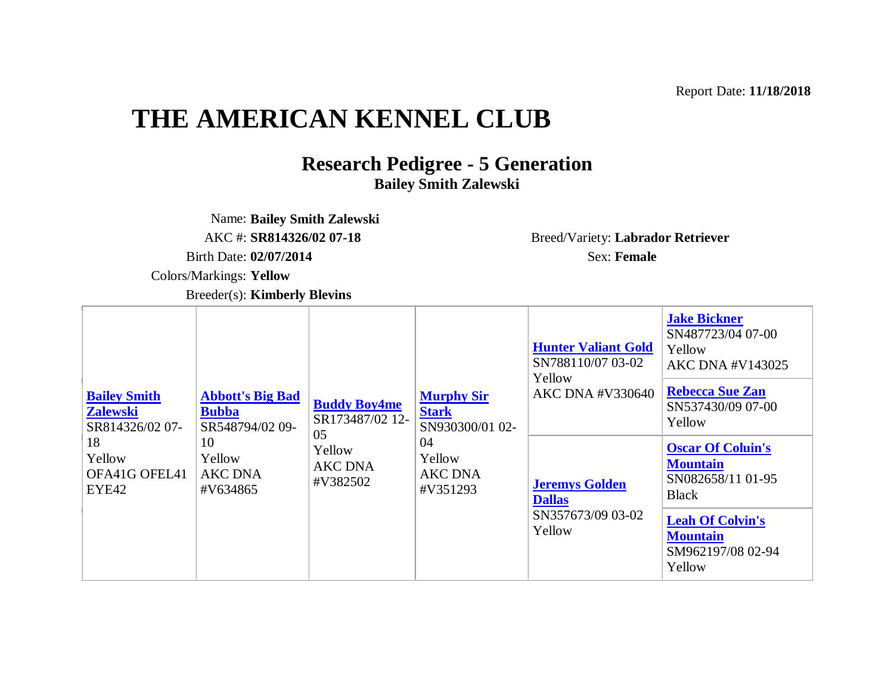Report Date: **11/18/2018**

## **THE AMERICAN KENNEL CLUB**

## **Research Pedigree - 5 Generation Bailey Smith Zalewski**

Name: **Bailey Smith Zalewski** Birth Date: **02/07/2014** Sex: **Female** Colors/Markings: **Yellow** 

AKC #: **SR814326/02 07-18** Breed/Variety: **Labrador Retriever**

Breeder(s): **Kimberly Blevins**

| <b>Bailey Smith</b><br><b>Zalewski</b><br>SR814326/02 07-<br>18<br>Yellow<br>OFA41G OFEL41<br>EYE42 | <b>Abbott's Big Bad</b><br><b>Bubba</b><br>SR548794/02 09-<br>10<br>Yellow<br><b>AKC DNA</b><br>#V634865 | <b>Buddy Boy4me</b><br>SR173487/02 12-<br>05<br>Yellow<br><b>AKC DNA</b><br>#V382502 | <b>Murphy Sir</b><br><b>Stark</b><br>SN930300/01 02-<br>04<br>Yellow<br><b>AKC DNA</b><br>#V351293 | <b>Hunter Valiant Gold</b><br>SN788110/07 03-02<br>Yellow<br><b>AKC DNA #V330640</b> | <b>Jake Bickner</b><br>SN487723/04 07-00<br>Yellow<br><b>AKC DNA #V143025</b><br><b>Rebecca Sue Zan</b><br>SN537430/09 07-00<br>Yellow                        |
|-----------------------------------------------------------------------------------------------------|----------------------------------------------------------------------------------------------------------|--------------------------------------------------------------------------------------|----------------------------------------------------------------------------------------------------|--------------------------------------------------------------------------------------|---------------------------------------------------------------------------------------------------------------------------------------------------------------|
|                                                                                                     |                                                                                                          |                                                                                      |                                                                                                    | <b>Jeremys Golden</b><br><b>Dallas</b><br>SN357673/09 03-02<br>Yellow                | <b>Oscar Of Coluin's</b><br><b>Mountain</b><br>SN082658/11 01-95<br><b>Black</b><br><b>Leah Of Colvin's</b><br><b>Mountain</b><br>SM962197/08 02-94<br>Yellow |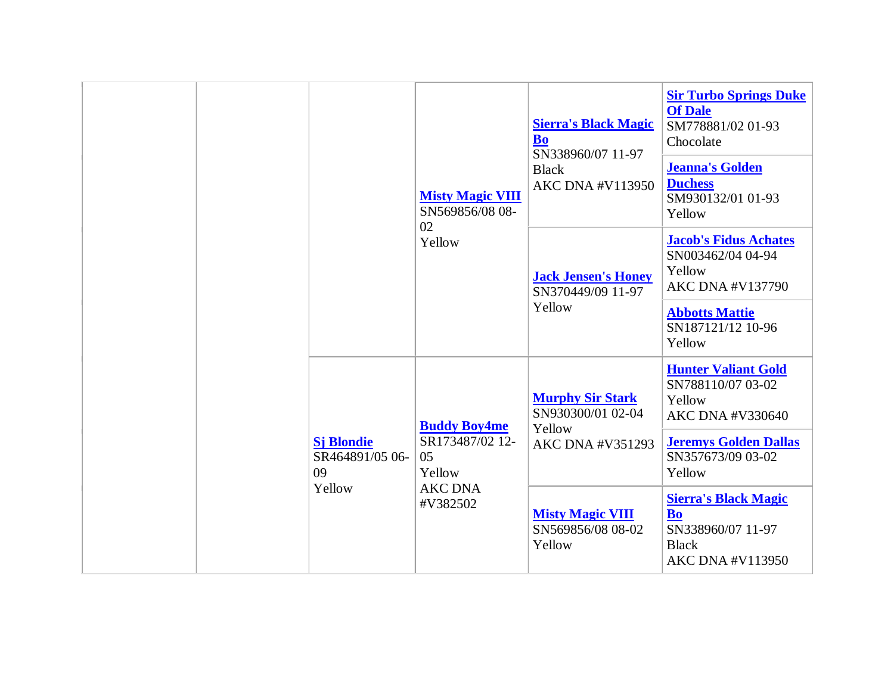|  |                                            | <b>Misty Magic VIII</b><br>SN569856/08 08-<br>02<br>Yellow | <b>Sierra's Black Magic</b><br><b>Bo</b><br>SN338960/07 11-97<br><b>Black</b><br><b>AKC DNA #V113950</b> | <b>Sir Turbo Springs Duke</b><br><b>Of Dale</b><br>SM778881/02 01-93<br>Chocolate<br><b>Jeanna's Golden</b><br><b>Duchess</b><br>SM930132/01 01-93<br>Yellow |
|--|--------------------------------------------|------------------------------------------------------------|----------------------------------------------------------------------------------------------------------|--------------------------------------------------------------------------------------------------------------------------------------------------------------|
|  |                                            |                                                            | <b>Jack Jensen's Honey</b><br>SN370449/09 11-97<br>Yellow                                                | <b>Jacob's Fidus Achates</b><br>SN003462/04 04-94<br>Yellow<br><b>AKC DNA #V137790</b><br><b>Abbotts Mattie</b><br>SN187121/12 10-96<br>Yellow               |
|  | <b>Sj Blondie</b><br>SR464891/05 06-<br>09 | <b>Buddy Boy4me</b><br>SR173487/02 12-<br>05<br>Yellow     | <b>Murphy Sir Stark</b><br>SN930300/01 02-04<br>Yellow<br>AKC DNA #V351293                               | <b>Hunter Valiant Gold</b><br>SN788110/07 03-02<br>Yellow<br>AKC DNA #V330640<br><b>Jeremys Golden Dallas</b><br>SN357673/09 03-02<br>Yellow                 |
|  | Yellow                                     | <b>AKC DNA</b><br>#V382502                                 | <b>Misty Magic VIII</b><br>SN569856/08 08-02<br>Yellow                                                   | <b>Sierra's Black Magic</b><br><b>Bo</b><br>SN338960/07 11-97<br><b>Black</b><br><b>AKC DNA #V113950</b>                                                     |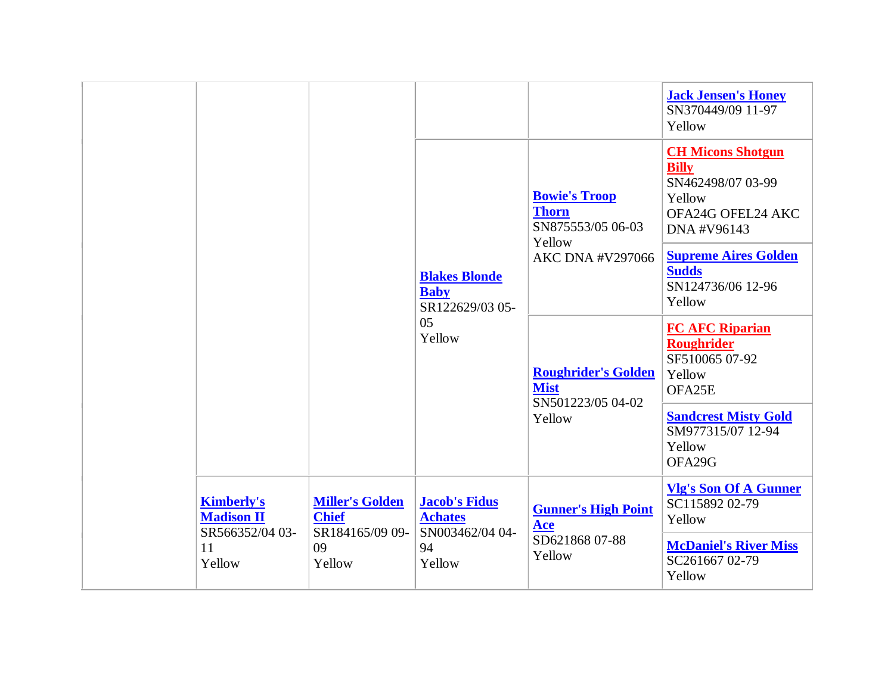|                                                           |                                                           | <b>Blakes Blonde</b>                                      | <b>Bowie's Troop</b><br><b>Thorn</b><br>SN875553/05 06-03<br>Yellow<br><b>AKC DNA #V297066</b> | <b>Jack Jensen's Honey</b><br>SN370449/09 11-97<br>Yellow<br><b>CH Micons Shotgun</b><br><b>Billy</b><br>SN462498/07 03-99<br>Yellow<br>OFA24G OFEL24 AKC<br>DNA #V96143<br><b>Supreme Aires Golden</b><br><b>Sudds</b> |
|-----------------------------------------------------------|-----------------------------------------------------------|-----------------------------------------------------------|------------------------------------------------------------------------------------------------|-------------------------------------------------------------------------------------------------------------------------------------------------------------------------------------------------------------------------|
|                                                           |                                                           | <b>Baby</b><br>SR122629/03 05-<br>05<br>Yellow            | <b>Roughrider's Golden</b><br><b>Mist</b><br>SN501223/05 04-02<br>Yellow                       | SN124736/06 12-96<br>Yellow<br><b>FC AFC Riparian</b><br><b>Roughrider</b>                                                                                                                                              |
|                                                           |                                                           |                                                           |                                                                                                | SF510065 07-92<br>Yellow<br>OFA25E<br><b>Sandcrest Misty Gold</b><br>SM977315/07 12-94                                                                                                                                  |
|                                                           |                                                           |                                                           |                                                                                                | Yellow<br>OFA29G                                                                                                                                                                                                        |
| <b>Kimberly's</b><br><b>Madison II</b><br>SR566352/04 03- | <b>Miller's Golden</b><br><b>Chief</b><br>SR184165/09 09- | <b>Jacob's Fidus</b><br><b>Achates</b><br>SN003462/04 04- | <b>Gunner's High Point</b><br>Ace                                                              | <b>Vlg's Son Of A Gunner</b><br>SC115892 02-79<br>Yellow                                                                                                                                                                |
| 11<br>Yellow                                              | 09<br>Yellow                                              | 94<br>Yellow                                              | SD621868 07-88<br>Yellow                                                                       | <b>McDaniel's River Miss</b><br>SC261667 02-79<br>Yellow                                                                                                                                                                |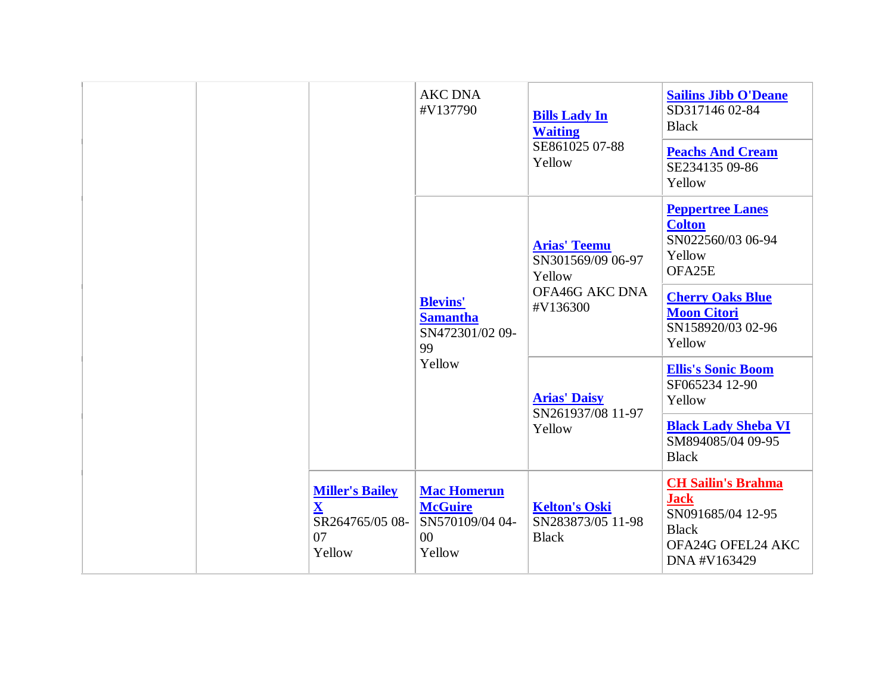|  |  | <b>AKC DNA</b><br>#V137790                                                      | <b>Bills Lady In</b><br><b>Waiting</b>                                      | <b>Sailins Jibb O'Deane</b><br>SD317146 02-84<br><b>Black</b> |                                                                                                                    |
|--|--|---------------------------------------------------------------------------------|-----------------------------------------------------------------------------|---------------------------------------------------------------|--------------------------------------------------------------------------------------------------------------------|
|  |  |                                                                                 |                                                                             | SE861025 07-88<br>Yellow                                      | <b>Peachs And Cream</b><br>SE234135 09-86<br>Yellow                                                                |
|  |  |                                                                                 |                                                                             | <b>Arias' Teemu</b><br>SN301569/09 06-97<br>Yellow            | <b>Peppertree Lanes</b><br><b>Colton</b><br>SN022560/03 06-94<br>Yellow<br>OFA25E                                  |
|  |  |                                                                                 | <b>Blevins'</b><br><b>Samantha</b><br>SN472301/02 09-<br>99                 | OFA46G AKC DNA<br>#V136300                                    | <b>Cherry Oaks Blue</b><br><b>Moon Citori</b><br>SN158920/03 02-96<br>Yellow                                       |
|  |  | Yellow                                                                          | <b>Arias' Daisy</b><br>SN261937/08 11-97                                    | <b>Ellis's Sonic Boom</b><br>SF065234 12-90<br>Yellow         |                                                                                                                    |
|  |  |                                                                                 |                                                                             | Yellow                                                        | <b>Black Lady Sheba VI</b><br>SM894085/04 09-95<br><b>Black</b>                                                    |
|  |  | <b>Miller's Bailey</b><br>$\bar{\mathbf{X}}$<br>SR264765/05 08-<br>07<br>Yellow | <b>Mac Homerun</b><br><b>McGuire</b><br>SN570109/04 04-<br>$00\,$<br>Yellow | <b>Kelton's Oski</b><br>SN283873/05 11-98<br><b>Black</b>     | <b>CH Sailin's Brahma</b><br><b>Jack</b><br>SN091685/04 12-95<br><b>Black</b><br>OFA24G OFEL24 AKC<br>DNA #V163429 |